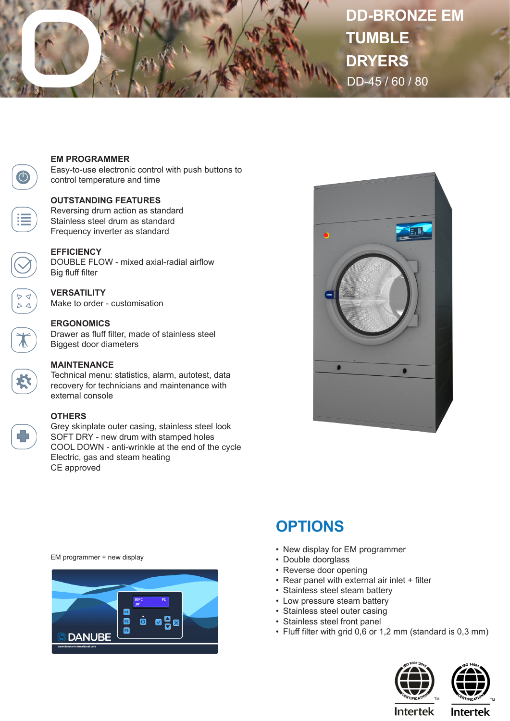

# **DD-BRONZE EM TUMBLE DRYERS** DD-45 / 60 / 80



#### **EM PROGRAMMER**

Easy-to-use electronic control with push buttons to control temperature and time

#### **OUTSTANDING FEATURES**

Reversing drum action as standard Stainless steel drum as standard Frequency inverter as standard

## **EFFICIENCY**

DOUBLE FLOW - mixed axial-radial airflow Big fluff filter

# **VERSATILITY**

Make to order - customisation

## **ERGONOMICS**

Drawer as fluff filter, made of stainless steel Biggest door diameters

## **MAINTENANCE**

Technical menu: statistics, alarm, autotest, data recovery for technicians and maintenance with external console

#### **OTHERS**

Grey skinplate outer casing, stainless steel look SOFT DRY - new drum with stamped holes COOL DOWN - anti-wrinkle at the end of the cycle Electric, gas and steam heating CE approved



# **OPTIONS**

- New display for EM programmer
- Double doorglass
- Reverse door opening
- Rear panel with external air inlet + filter
- Stainless steel steam battery
- Low pressure steam battery
- Stainless steel outer casing
- Stainless steel front panel
- Fluff filter with grid 0,6 or 1,2 mm (standard is 0,3 mm)



**Intertek** 

EM programmer + new display